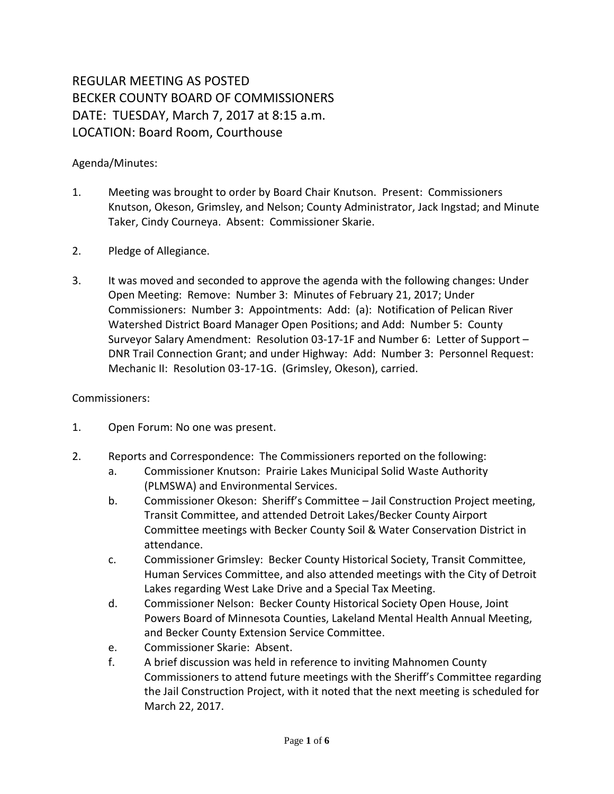## REGULAR MEETING AS POSTED BECKER COUNTY BOARD OF COMMISSIONERS DATE: TUESDAY, March 7, 2017 at 8:15 a.m. LOCATION: Board Room, Courthouse

## Agenda/Minutes:

- 1. Meeting was brought to order by Board Chair Knutson. Present: Commissioners Knutson, Okeson, Grimsley, and Nelson; County Administrator, Jack Ingstad; and Minute Taker, Cindy Courneya. Absent: Commissioner Skarie.
- 2. Pledge of Allegiance.
- 3. It was moved and seconded to approve the agenda with the following changes: Under Open Meeting: Remove: Number 3: Minutes of February 21, 2017; Under Commissioners: Number 3: Appointments: Add: (a): Notification of Pelican River Watershed District Board Manager Open Positions; and Add: Number 5: County Surveyor Salary Amendment: Resolution 03-17-1F and Number 6: Letter of Support – DNR Trail Connection Grant; and under Highway: Add: Number 3: Personnel Request: Mechanic II: Resolution 03-17-1G. (Grimsley, Okeson), carried.

## Commissioners:

- 1. Open Forum: No one was present.
- 2. Reports and Correspondence: The Commissioners reported on the following:
	- a. Commissioner Knutson: Prairie Lakes Municipal Solid Waste Authority (PLMSWA) and Environmental Services.
	- b. Commissioner Okeson: Sheriff's Committee Jail Construction Project meeting, Transit Committee, and attended Detroit Lakes/Becker County Airport Committee meetings with Becker County Soil & Water Conservation District in attendance.
	- c. Commissioner Grimsley: Becker County Historical Society, Transit Committee, Human Services Committee, and also attended meetings with the City of Detroit Lakes regarding West Lake Drive and a Special Tax Meeting.
	- d. Commissioner Nelson: Becker County Historical Society Open House, Joint Powers Board of Minnesota Counties, Lakeland Mental Health Annual Meeting, and Becker County Extension Service Committee.
	- e. Commissioner Skarie: Absent.
	- f. A brief discussion was held in reference to inviting Mahnomen County Commissioners to attend future meetings with the Sheriff's Committee regarding the Jail Construction Project, with it noted that the next meeting is scheduled for March 22, 2017.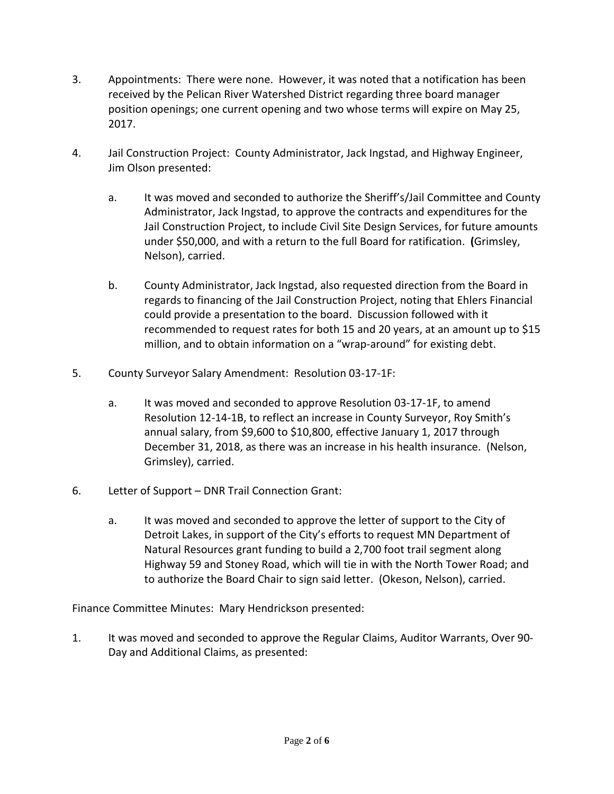- 3. Appointments: There were none. However, it was noted that a notification has been received by the Pelican River Watershed District regarding three board manager position openings; one current opening and two whose terms will expire on May 25, 2017.
- 4. Jail Construction Project: County Administrator, Jack Ingstad, and Highway Engineer, Jim Olson presented:
	- a. It was moved and seconded to authorize the Sheriff's/Jail Committee and County Administrator, Jack Ingstad, to approve the contracts and expenditures for the Jail Construction Project, to include Civil Site Design Services, for future amounts under \$50,000, and with a return to the full Board for ratification. **(**Grimsley, Nelson), carried.
	- b. County Administrator, Jack Ingstad, also requested direction from the Board in regards to financing of the Jail Construction Project, noting that Ehlers Financial could provide a presentation to the board. Discussion followed with it recommended to request rates for both 15 and 20 years, at an amount up to \$15 million, and to obtain information on a "wrap-around" for existing debt.
- 5. County Surveyor Salary Amendment: Resolution 03-17-1F:
	- a. It was moved and seconded to approve Resolution 03-17-1F, to amend Resolution 12-14-1B, to reflect an increase in County Surveyor, Roy Smith's annual salary, from \$9,600 to \$10,800, effective January 1, 2017 through December 31, 2018, as there was an increase in his health insurance. (Nelson, Grimsley), carried.
- 6. Letter of Support DNR Trail Connection Grant:
	- a. It was moved and seconded to approve the letter of support to the City of Detroit Lakes, in support of the City's efforts to request MN Department of Natural Resources grant funding to build a 2,700 foot trail segment along Highway 59 and Stoney Road, which will tie in with the North Tower Road; and to authorize the Board Chair to sign said letter. (Okeson, Nelson), carried.

Finance Committee Minutes: Mary Hendrickson presented:

1. It was moved and seconded to approve the Regular Claims, Auditor Warrants, Over 90- Day and Additional Claims, as presented: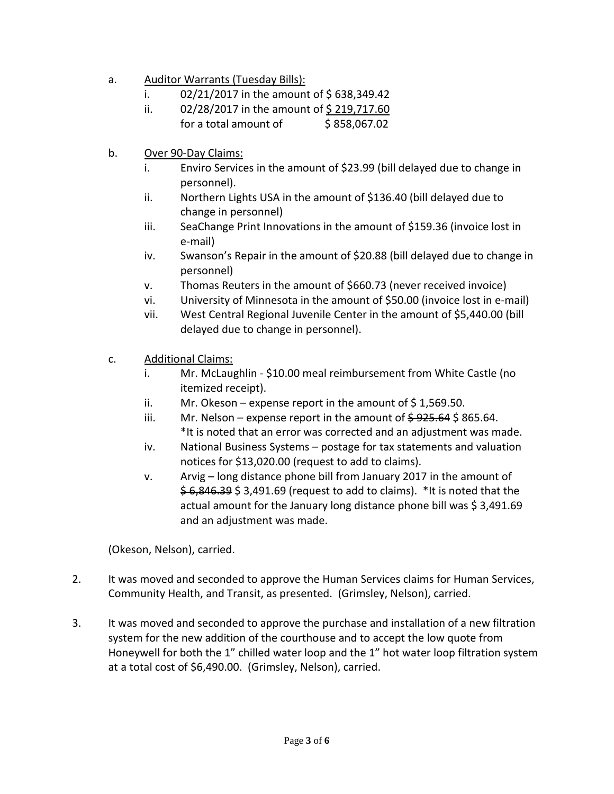- a. Auditor Warrants (Tuesday Bills):
	- i.  $02/21/2017$  in the amount of \$638,349.42
	- ii.  $02/28/2017$  in the amount of \$219,717.60 for a total amount of  $\frac{1}{2}$  \$ 858,067.02
- b. Over 90-Day Claims:
	- i. Enviro Services in the amount of \$23.99 (bill delayed due to change in personnel).
	- ii. Northern Lights USA in the amount of \$136.40 (bill delayed due to change in personnel)
	- iii. SeaChange Print Innovations in the amount of \$159.36 (invoice lost in e-mail)
	- iv. Swanson's Repair in the amount of \$20.88 (bill delayed due to change in personnel)
	- v. Thomas Reuters in the amount of \$660.73 (never received invoice)
	- vi. University of Minnesota in the amount of \$50.00 (invoice lost in e-mail)
	- vii. West Central Regional Juvenile Center in the amount of \$5,440.00 (bill delayed due to change in personnel).
- c. Additional Claims:
	- i. Mr. McLaughlin \$10.00 meal reimbursement from White Castle (no itemized receipt).
	- ii. Mr. Okeson expense report in the amount of  $\frac{2}{3}$  1,569.50.
	- iii. Mr. Nelson expense report in the amount of  $\frac{6}{925.64}$  \$ 865.64. \*It is noted that an error was corrected and an adjustment was made.
	- iv. National Business Systems postage for tax statements and valuation notices for \$13,020.00 (request to add to claims).
	- v. Arvig long distance phone bill from January 2017 in the amount of \$6,846.39 \$3,491.69 (request to add to claims). \*It is noted that the actual amount for the January long distance phone bill was \$ 3,491.69 and an adjustment was made.

(Okeson, Nelson), carried.

- 2. It was moved and seconded to approve the Human Services claims for Human Services, Community Health, and Transit, as presented. (Grimsley, Nelson), carried.
- 3. It was moved and seconded to approve the purchase and installation of a new filtration system for the new addition of the courthouse and to accept the low quote from Honeywell for both the 1" chilled water loop and the 1" hot water loop filtration system at a total cost of \$6,490.00. (Grimsley, Nelson), carried.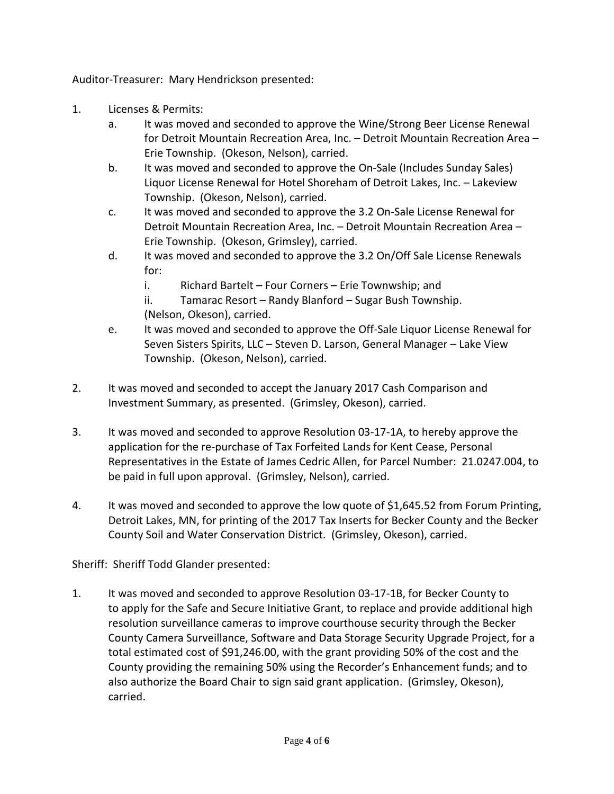Auditor-Treasurer: Mary Hendrickson presented:

- 1. Licenses & Permits:
	- a. It was moved and seconded to approve the Wine/Strong Beer License Renewal for Detroit Mountain Recreation Area, Inc. – Detroit Mountain Recreation Area – Erie Township. (Okeson, Nelson), carried.
	- b. It was moved and seconded to approve the On-Sale (Includes Sunday Sales) Liquor License Renewal for Hotel Shoreham of Detroit Lakes, Inc. – Lakeview Township. (Okeson, Nelson), carried.
	- c. It was moved and seconded to approve the 3.2 On-Sale License Renewal for Detroit Mountain Recreation Area, Inc. – Detroit Mountain Recreation Area – Erie Township. (Okeson, Grimsley), carried.
	- d. It was moved and seconded to approve the 3.2 On/Off Sale License Renewals for:
		- i. Richard Bartelt Four Corners Erie Townwship; and
		- ii. Tamarac Resort Randy Blanford Sugar Bush Township. (Nelson, Okeson), carried.
	- e. It was moved and seconded to approve the Off-Sale Liquor License Renewal for Seven Sisters Spirits, LLC – Steven D. Larson, General Manager – Lake View Township. (Okeson, Nelson), carried.
- 2. It was moved and seconded to accept the January 2017 Cash Comparison and Investment Summary, as presented. (Grimsley, Okeson), carried.
- 3. It was moved and seconded to approve Resolution 03-17-1A, to hereby approve the application for the re-purchase of Tax Forfeited Lands for Kent Cease, Personal Representatives in the Estate of James Cedric Allen, for Parcel Number: 21.0247.004, to be paid in full upon approval. (Grimsley, Nelson), carried.
- 4. It was moved and seconded to approve the low quote of \$1,645.52 from Forum Printing, Detroit Lakes, MN, for printing of the 2017 Tax Inserts for Becker County and the Becker County Soil and Water Conservation District. (Grimsley, Okeson), carried.

Sheriff: Sheriff Todd Glander presented:

1. It was moved and seconded to approve Resolution 03-17-1B, for Becker County to to apply for the Safe and Secure Initiative Grant, to replace and provide additional high resolution surveillance cameras to improve courthouse security through the Becker County Camera Surveillance, Software and Data Storage Security Upgrade Project, for a total estimated cost of \$91,246.00, with the grant providing 50% of the cost and the County providing the remaining 50% using the Recorder's Enhancement funds; and to also authorize the Board Chair to sign said grant application. (Grimsley, Okeson), carried.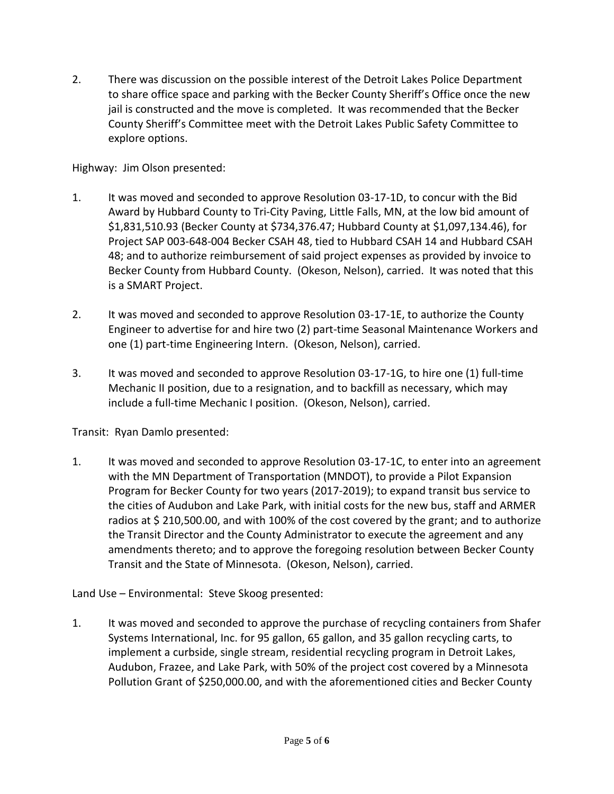2. There was discussion on the possible interest of the Detroit Lakes Police Department to share office space and parking with the Becker County Sheriff's Office once the new jail is constructed and the move is completed. It was recommended that the Becker County Sheriff's Committee meet with the Detroit Lakes Public Safety Committee to explore options.

Highway: Jim Olson presented:

- 1. It was moved and seconded to approve Resolution 03-17-1D, to concur with the Bid Award by Hubbard County to Tri-City Paving, Little Falls, MN, at the low bid amount of \$1,831,510.93 (Becker County at \$734,376.47; Hubbard County at \$1,097,134.46), for Project SAP 003-648-004 Becker CSAH 48, tied to Hubbard CSAH 14 and Hubbard CSAH 48; and to authorize reimbursement of said project expenses as provided by invoice to Becker County from Hubbard County. (Okeson, Nelson), carried. It was noted that this is a SMART Project.
- 2. It was moved and seconded to approve Resolution 03-17-1E, to authorize the County Engineer to advertise for and hire two (2) part-time Seasonal Maintenance Workers and one (1) part-time Engineering Intern. (Okeson, Nelson), carried.
- 3. It was moved and seconded to approve Resolution 03-17-1G, to hire one (1) full-time Mechanic II position, due to a resignation, and to backfill as necessary, which may include a full-time Mechanic I position. (Okeson, Nelson), carried.

Transit: Ryan Damlo presented:

1. It was moved and seconded to approve Resolution 03-17-1C, to enter into an agreement with the MN Department of Transportation (MNDOT), to provide a Pilot Expansion Program for Becker County for two years (2017-2019); to expand transit bus service to the cities of Audubon and Lake Park, with initial costs for the new bus, staff and ARMER radios at \$ 210,500.00, and with 100% of the cost covered by the grant; and to authorize the Transit Director and the County Administrator to execute the agreement and any amendments thereto; and to approve the foregoing resolution between Becker County Transit and the State of Minnesota. (Okeson, Nelson), carried.

Land Use – Environmental: Steve Skoog presented:

1. It was moved and seconded to approve the purchase of recycling containers from Shafer Systems International, Inc. for 95 gallon, 65 gallon, and 35 gallon recycling carts, to implement a curbside, single stream, residential recycling program in Detroit Lakes, Audubon, Frazee, and Lake Park, with 50% of the project cost covered by a Minnesota Pollution Grant of \$250,000.00, and with the aforementioned cities and Becker County